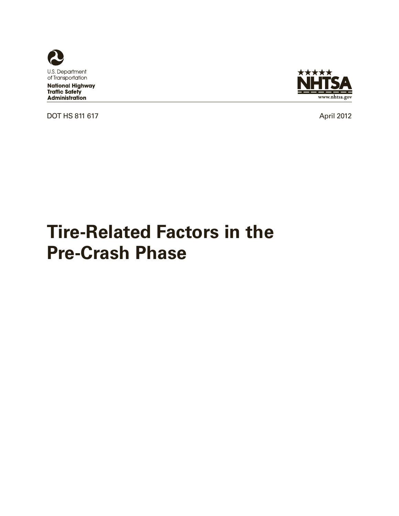

**National Highway Traffic Safety Administration** 

DOT HS 811 617 April 2012



# **Tire-Related Factors in the Pre-Crash Phase**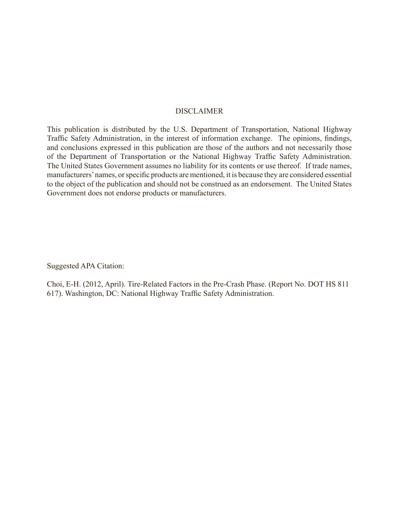#### DISCLAIMER

This publication is distributed by the U.S. Department of Transportation, National Highway Traffic Safety Administration, in the interest of information exchange. The opinions, findings, and conclusions expressed in this publication are those of the authors and not necessarily those of the Department of Transportation or the National Highway Traffic Safety Administration. The United States Government assumes no liability for its contents or use thereof. If trade names, manufacturers' names, or specific products are mentioned, it is because they are considered essential to the object of the publication and should not be construed as an endorsement. The United States Government does not endorse products or manufacturers.

Suggested APA Citation:

Choi, E-H. (2012, April). Tire-Related Factors in the Pre-Crash Phase. (Report No. DOT HS 811 617). Washington, DC: National Highway Traffic Safety Administration.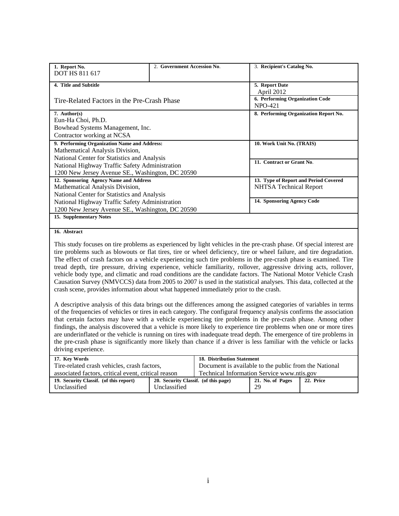| 1. Report No.                                    | 2. Government Accession No. | 3. Recipient's Catalog No.                   |
|--------------------------------------------------|-----------------------------|----------------------------------------------|
| <b>DOT HS 811 617</b>                            |                             |                                              |
| 4. Title and Subtitle                            |                             | 5. Report Date<br>April 2012                 |
| Tire-Related Factors in the Pre-Crash Phase      |                             | 6. Performing Organization Code<br>$NPO-421$ |
| 7. Author(s)                                     |                             | 8. Performing Organization Report No.        |
| Eun-Ha Choi, Ph.D.                               |                             |                                              |
| Bowhead Systems Management, Inc.                 |                             |                                              |
| Contractor working at NCSA                       |                             |                                              |
| 9. Performing Organization Name and Address:     |                             | 10. Work Unit No. (TRAIS)                    |
| Mathematical Analysis Division,                  |                             |                                              |
| National Center for Statistics and Analysis      |                             | 11. Contract or Grant No.                    |
| National Highway Traffic Safety Administration   |                             |                                              |
| 1200 New Jersey Avenue SE., Washington, DC 20590 |                             |                                              |
| 12. Sponsoring Agency Name and Address           |                             | 13. Type of Report and Period Covered        |
| Mathematical Analysis Division,                  |                             | <b>NHTSA Technical Report</b>                |
| National Center for Statistics and Analysis      |                             |                                              |
| National Highway Traffic Safety Administration   |                             | 14. Sponsoring Agency Code                   |
| 1200 New Jersey Avenue SE., Washington, DC 20590 |                             |                                              |
| 15. Supplementary Notes                          |                             |                                              |

#### **16. Abstract**

This study focuses on tire problems as experienced by light vehicles in the pre-crash phase. Of special interest are tire problems such as blowouts or flat tires, tire or wheel deficiency, tire or wheel failure, and tire degradation. The effect of crash factors on a vehicle experiencing such tire problems in the pre-crash phase is examined. Tire tread depth, tire pressure, driving experience, vehicle familiarity, rollover, aggressive driving acts, rollover, vehicle body type, and climatic and road conditions are the candidate factors. The National Motor Vehicle Crash Causation Survey (NMVCCS) data from 2005 to 2007 is used in the statistical analyses. This data, collected at the crash scene, provides information about what happened immediately prior to the crash.

A descriptive analysis of this data brings out the differences among the assigned categories of variables in terms of the frequencies of vehicles or tires in each category. The configural frequency analysis confirms the association that certain factors may have with a vehicle experiencing tire problems in the pre-crash phase. Among other findings, the analysis discovered that a vehicle is more likely to experience tire problems when one or more tires are underinflated or the vehicle is running on tires with inadequate tread depth. The emergence of tire problems in the pre-crash phase is significantly more likely than chance if a driver is less familiar with the vehicle or lacks driving experience.

| 17. Key Words                                       | <b>18. Distribution Statement</b>    |                                                       |                  |           |
|-----------------------------------------------------|--------------------------------------|-------------------------------------------------------|------------------|-----------|
| Tire-related crash vehicles, crash factors,         |                                      | Document is available to the public from the National |                  |           |
| associated factors, critical event, critical reason |                                      | Technical Information Service www.ntis.gov            |                  |           |
| 19. Security Classif. (of this report)              | 20. Security Classif. (of this page) |                                                       | 21. No. of Pages | 22. Price |
| Unclassified                                        | Unclassified                         |                                                       | 29               |           |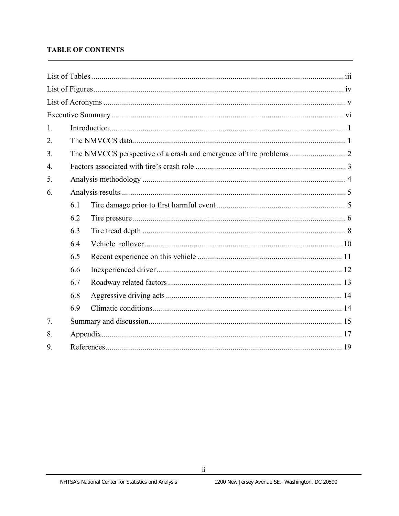## **TABLE OF CONTENTS**

| 1.               |     |  |
|------------------|-----|--|
| 2.               |     |  |
| 3.               |     |  |
| $\overline{4}$ . |     |  |
| 5.               |     |  |
| 6.               |     |  |
|                  | 6.1 |  |
|                  | 6.2 |  |
|                  | 6.3 |  |
|                  | 6.4 |  |
|                  | 6.5 |  |
|                  | 6.6 |  |
|                  | 6.7 |  |
|                  | 6.8 |  |
|                  | 6.9 |  |
| 7.               |     |  |
| 8.               |     |  |
| 9.               |     |  |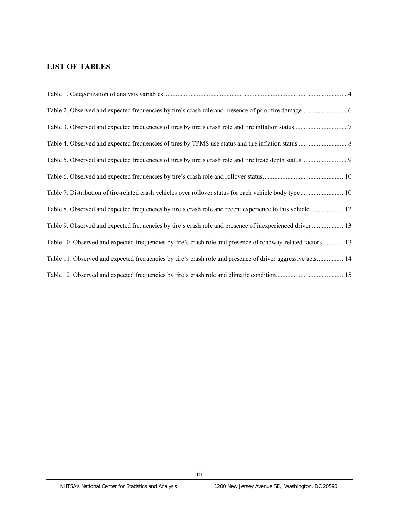## **LIST OF TABLES**

| Table 8. Observed and expected frequencies by tire's crash role and recent experience to this vehicle 12   |  |
|------------------------------------------------------------------------------------------------------------|--|
| Table 9. Observed and expected frequencies by tire's crash role and presence of inexperienced driver  13   |  |
| Table 10. Observed and expected frequencies by tire's crash role and presence of roadway-related factors13 |  |
| Table 11. Observed and expected frequencies by tire's crash role and presence of driver aggressive acts14  |  |
|                                                                                                            |  |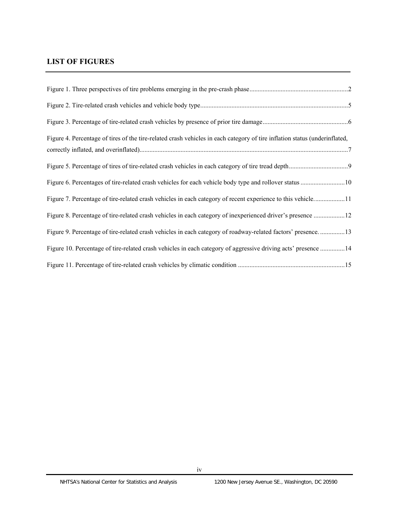# **LIST OF FIGURES**

| Figure 4. Percentage of tires of the tire-related crash vehicles in each category of tire inflation status (underinflated, |  |
|----------------------------------------------------------------------------------------------------------------------------|--|
|                                                                                                                            |  |
|                                                                                                                            |  |
| Figure 7. Percentage of tire-related crash vehicles in each category of recent experience to this vehicle11                |  |
| Figure 8. Percentage of tire-related crash vehicles in each category of inexperienced driver's presence 12                 |  |
| Figure 9. Percentage of tire-related crash vehicles in each category of roadway-related factors' presence13                |  |
| Figure 10. Percentage of tire-related crash vehicles in each category of aggressive driving acts' presence 14              |  |
|                                                                                                                            |  |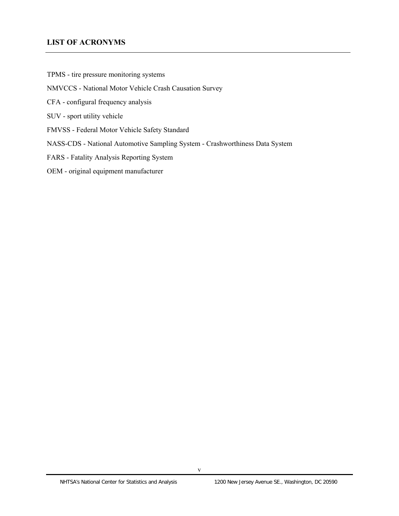### **LIST OF ACRONYMS**

TPMS - tire pressure monitoring systems

#### NMVCCS - National Motor Vehicle Crash Causation Survey

- CFA configural frequency analysis
- SUV sport utility vehicle
- FMVSS Federal Motor Vehicle Safety Standard
- NASS-CDS National Automotive Sampling System Crashworthiness Data System
- FARS Fatality Analysis Reporting System

#### OEM - original equipment manufacturer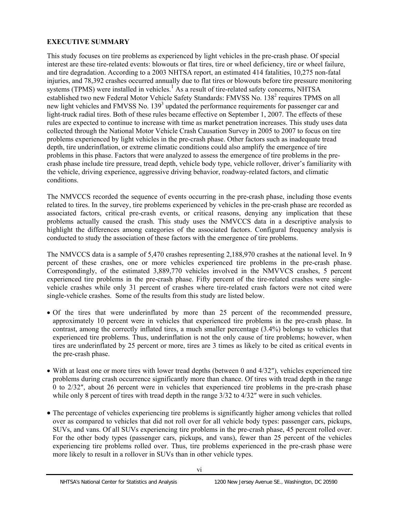## **EXECUTIVE SUMMARY**

This study focuses on tire problems as experienced by light vehicles in the pre-crash phase. Of special interest are these tire-related events: blowouts or flat tires, tire or wheel deficiency, tire or wheel failure, and tire degradation. According to a 2003 NHTSA report, an estimated 414 fatalities, 10,275 non-fatal injuries, and 78,392 crashes occurred annually due to flat tires or blowouts before tire pressure monitoring systems (TPMS) were installed in vehicles.<sup>1</sup> As a result of tire-related safety concerns, NHTSA established two new Federal Motor Vehicle Safety Standards: FMVSS No. 138<sup>2</sup> requires TPMS on all new light vehicles and FMVSS No. 139<sup>3</sup> updated the performance requirements for passenger car and light-truck radial tires. Both of these rules became effective on September 1, 2007. The effects of these rules are expected to continue to increase with time as market penetration increases. This study uses data collected through the National Motor Vehicle Crash Causation Survey in 2005 to 2007 to focus on tire problems experienced by light vehicles in the pre-crash phase. Other factors such as inadequate tread depth, tire underinflation, or extreme climatic conditions could also amplify the emergence of tire problems in this phase. Factors that were analyzed to assess the emergence of tire problems in the precrash phase include tire pressure, tread depth, vehicle body type, vehicle rollover, driver's familiarity with the vehicle, driving experience, aggressive driving behavior, roadway-related factors, and climatic conditions.

The NMVCCS recorded the sequence of events occurring in the pre-crash phase, including those events related to tires. In the survey, tire problems experienced by vehicles in the pre-crash phase are recorded as associated factors, critical pre-crash events, or critical reasons, denying any implication that these problems actually caused the crash. This study uses the NMVCCS data in a descriptive analysis to highlight the differences among categories of the associated factors. Configural frequency analysis is conducted to study the association of these factors with the emergence of tire problems.

The NMVCCS data is a sample of 5,470 crashes representing 2,188,970 crashes at the national level. In 9 percent of these crashes, one or more vehicles experienced tire problems in the pre-crash phase. Correspondingly, of the estimated 3,889,770 vehicles involved in the NMVVCS crashes, 5 percent experienced tire problems in the pre-crash phase. Fifty percent of the tire-related crashes were singlevehicle crashes while only 31 percent of crashes where tire-related crash factors were not cited were single-vehicle crashes. Some of the results from this study are listed below.

- Of the tires that were underinflated by more than 25 percent of the recommended pressure, approximately 10 percent were in vehicles that experienced tire problems in the pre-crash phase. In contrast, among the correctly inflated tires, a much smaller percentage (3.4%) belongs to vehicles that experienced tire problems. Thus, underinflation is not the only cause of tire problems; however, when tires are underinflated by 25 percent or more, tires are 3 times as likely to be cited as critical events in the pre-crash phase.
- $\bullet$  With at least one or more tires with lower tread depths (between 0 and 4/32"), vehicles experienced tire problems during crash occurrence significantly more than chance. Of tires with tread depth in the range 0 to 2/32″, about 26 percent were in vehicles that experienced tire problems in the pre-crash phase while only 8 percent of tires with tread depth in the range  $3/32$  to  $4/32$ " were in such vehicles.
- The percentage of vehicles experiencing tire problems is significantly higher among vehicles that rolled over as compared to vehicles that did not roll over for all vehicle body types: passenger cars, pickups, SUVs, and vans. Of all SUVs experiencing tire problems in the pre-crash phase, 45 percent rolled over. For the other body types (passenger cars, pickups, and vans), fewer than 25 percent of the vehicles experiencing tire problems rolled over. Thus, tire problems experienced in the pre-crash phase were more likely to result in a rollover in SUVs than in other vehicle types.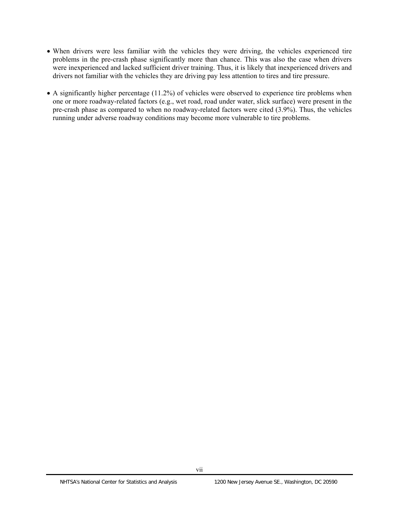- When drivers were less familiar with the vehicles they were driving, the vehicles experienced tire problems in the pre-crash phase significantly more than chance. This was also the case when drivers were inexperienced and lacked sufficient driver training. Thus, it is likely that inexperienced drivers and drivers not familiar with the vehicles they are driving pay less attention to tires and tire pressure.
- A significantly higher percentage (11.2%) of vehicles were observed to experience tire problems when one or more roadway-related factors (e.g., wet road, road under water, slick surface) were present in the pre-crash phase as compared to when no roadway-related factors were cited (3.9%). Thus, the vehicles running under adverse roadway conditions may become more vulnerable to tire problems.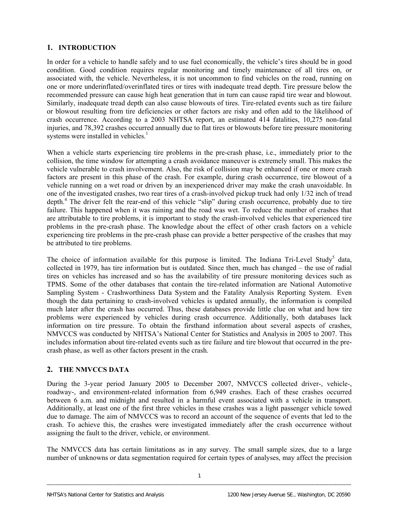## **1. INTRODUCTION**

In order for a vehicle to handle safely and to use fuel economically, the vehicle's tires should be in good condition. Good condition requires regular monitoring and timely maintenance of all tires on, or associated with, the vehicle. Nevertheless, it is not uncommon to find vehicles on the road, running on one or more underinflated/overinflated tires or tires with inadequate tread depth. Tire pressure below the recommended pressure can cause high heat generation that in turn can cause rapid tire wear and blowout. Similarly, inadequate tread depth can also cause blowouts of tires. Tire-related events such as tire failure or blowout resulting from tire deficiencies or other factors are risky and often add to the likelihood of crash occurrence. According to a 2003 NHTSA report, an estimated 414 fatalities, 10,275 non-fatal injuries, and 78,392 crashes occurred annually due to flat tires or blowouts before tire pressure monitoring systems were installed in vehicles. $<sup>1</sup>$ </sup>

When a vehicle starts experiencing tire problems in the pre-crash phase, i.e., immediately prior to the collision, the time window for attempting a crash avoidance maneuver is extremely small. This makes the vehicle vulnerable to crash involvement. Also, the risk of collision may be enhanced if one or more crash factors are present in this phase of the crash. For example, during crash occurrence, tire blowout of a vehicle running on a wet road or driven by an inexperienced driver may make the crash unavoidable. In one of the investigated crashes, two rear tires of a crash-involved pickup truck had only 1/32 inch of tread depth.<sup>4</sup> The driver felt the rear-end of this vehicle "slip" during crash occurrence, probably due to tire failure. This happened when it was raining and the road was wet. To reduce the number of crashes that are attributable to tire problems, it is important to study the crash-involved vehicles that experienced tire problems in the pre-crash phase. The knowledge about the effect of other crash factors on a vehicle experiencing tire problems in the pre-crash phase can provide a better perspective of the crashes that may be attributed to tire problems.

The choice of information available for this purpose is limited. The Indiana Tri-Level Study<sup>5</sup> data, collected in 1979, has tire information but is outdated. Since then, much has changed – the use of radial tires on vehicles has increased and so has the availability of tire pressure monitoring devices such as TPMS. Some of the other databases that contain the tire-related information are National Automotive Sampling System - Crashworthiness Data System and the Fatality Analysis Reporting System. Even though the data pertaining to crash-involved vehicles is updated annually, the information is compiled much later after the crash has occurred. Thus, these databases provide little clue on what and how tire problems were experienced by vehicles during crash occurrence. Additionally, both databases lack information on tire pressure. To obtain the firsthand information about several aspects of crashes, NMVCCS was conducted by NHTSA's National Center for Statistics and Analysis in 2005 to 2007. This includes information about tire-related events such as tire failure and tire blowout that occurred in the precrash phase, as well as other factors present in the crash.

## **2. THE NMVCCS DATA**

During the 3-year period January 2005 to December 2007, NMVCCS collected driver-, vehicle-, roadway-, and environment-related information from 6,949 crashes. Each of these crashes occurred between 6 a.m. and midnight and resulted in a harmful event associated with a vehicle in transport. Additionally, at least one of the first three vehicles in these crashes was a light passenger vehicle towed due to damage. The aim of NMVCCS was to record an account of the sequence of events that led to the crash. To achieve this, the crashes were investigated immediately after the crash occurrence without assigning the fault to the driver, vehicle, or environment.

The NMVCCS data has certain limitations as in any survey. The small sample sizes, due to a large number of unknowns or data segmentation required for certain types of analyses, may affect the precision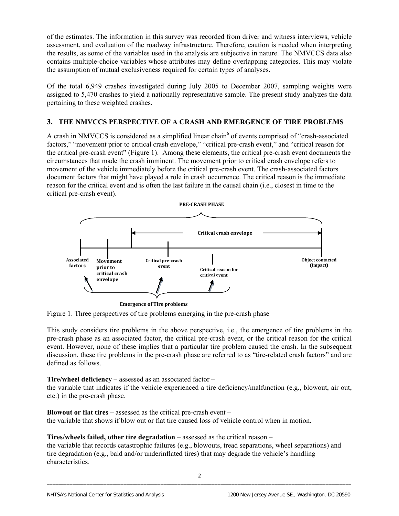of the estimates. The information in this survey was recorded from driver and witness interviews, vehicle assessment, and evaluation of the roadway infrastructure. Therefore, caution is needed when interpreting the results, as some of the variables used in the analysis are subjective in nature. The NMVCCS data also contains multiple-choice variables whose attributes may define overlapping categories. This may violate the assumption of mutual exclusiveness required for certain types of analyses.

Of the total 6,949 crashes investigated during July 2005 to December 2007, sampling weights were assigned to 5,470 crashes to yield a nationally representative sample. The present study analyzes the data pertaining to these weighted crashes.

## **3. THE NMVCCS PERSPECTIVE OF A CRASH AND EMERGENCE OF TIRE PROBLEMS**

A crash in NMVCCS is considered as a simplified linear chain<sup>6</sup> of events comprised of "crash-associated factors," "movement prior to critical crash envelope," "critical pre-crash event," and "critical reason for the critical pre-crash event" (Figure 1). Among these elements, the critical pre-crash event documents the circumstances that made the crash imminent. The movement prior to critical crash envelope refers to movement of the vehicle immediately before the critical pre-crash event. The crash-associated factors document factors that might have played a role in crash occurrence. The critical reason is the immediate reason for the critical event and is often the last failure in the causal chain (i.e., closest in time to the critical pre-crash event).



Figure 1. Three perspectives of tire problems emerging in the pre-crash phase

This study considers tire problems in the above perspective, i.e., the emergence of tire problems in the pre-crash phase as an associated factor, the critical pre-crash event, or the critical reason for the critical event. However, none of these implies that a particular tire problem caused the crash. In the subsequent discussion, these tire problems in the pre-crash phase are referred to as "tire-related crash factors" and are defined as follows.

#### **Tire/wheel deficiency** – assessed as an associated factor –

the variable that indicates if the vehicle experienced a tire deficiency/malfunction (e.g., blowout, air out, etc.) in the pre-crash phase.

**Blowout or flat tires – assessed as the critical pre-crash event –** the variable that shows if blow out or flat tire caused loss of vehicle control when in motion.

### **Tires/wheels failed, other tire degradation** – assessed as the critical reason –

the variable that records catastrophic failures (e.g., blowouts, tread separations, wheel separations) and tire degradation (e.g., bald and/or underinflated tires) that may degrade the vehicle's handling characteristics.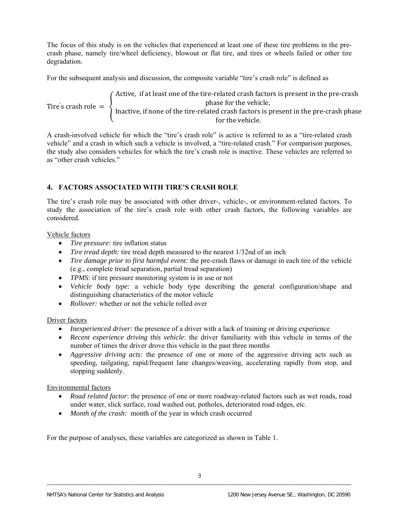The focus of this study is on the vehicles that experienced at least one of these tire problems in the precrash phase, namely tire/wheel deficiency, blowout or flat tire, and tires or wheels failed or other tire degradation.

For the subsequent analysis and discussion, the composite variable "tire's crash role" is defined as

Active, if at least one of the tire-relat Tire' ed crash factors is present in the pre-crash s crash role  $=$   $\left\{\right.$  Inactive, if none of the tire-related cra phase fo sh fa r the c v tors is prese ehicle, for the vehicle. nt in the pre-crash phase

A crash-involved vehicle for which the "tire's crash role" is active is referred to as a "tire-related crash vehicle" and a crash in which such a vehicle is involved, a "tire-related crash." For comparison purposes, the study also considers vehicles for which the tire's crash role is inactive. These vehicles are referred to as "other crash vehicles."

## **4. FACTORS ASSOCIATED WITH TIRE'S CRASH ROLE**

The tire's crash role may be associated with other driver-, vehicle-, or environment-related factors. To study the association of the tire's crash role with other crash factors, the following variables are considered.

#### Vehicle factors

- *Tire pressure:* tire inflation status
- *Tire tread depth:* tire tread depth measured to the nearest 1/32nd of an inch
- *Tire damage prior to first harmful event:* the pre-crash flaws or damage in each tire of the vehicle (e.g., complete tread separation, partial tread separation)
- *TPMS*: if tire pressure monitoring system is in use or not
- *Vehicle body type:* a vehicle body type describing the general configuration/shape and distinguishing characteristics of the motor vehicle
- *Rollover:* whether or not the vehicle rolled over

### Driver factors

- *Inexperienced driver:* the presence of a driver with a lack of training or driving experience
- *Recent experience driving this vehicle*: the driver familiarity with this vehicle in terms of the number of times the driver drove this vehicle in the past three months
- *Aggressive driving acts:* the presence of one or more of the aggressive driving acts such as speeding, tailgating, rapid/frequent lane changes/weaving, accelerating rapidly from stop, and stopping suddenly.

### Environmental factors

- *Road related factor*: the presence of one or more roadway-related factors such as wet roads, road under water, slick surface, road washed out, potholes, deteriorated road edges, etc.
- *Month of the crash:* month of the year in which crash occurred

For the purpose of analyses, these variables are categorized as shown in Table 1.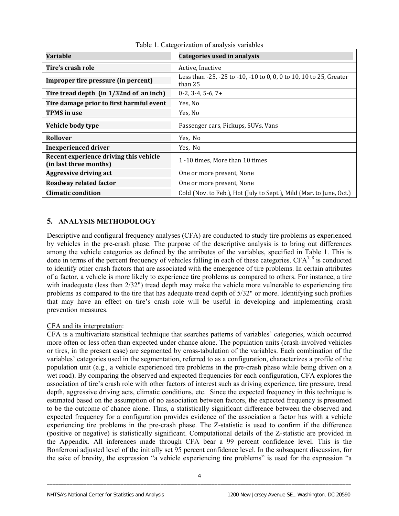| <b>Variable</b>                                                  | Categories used in analysis                                                   |
|------------------------------------------------------------------|-------------------------------------------------------------------------------|
| Tire's crash role                                                | Active, Inactive                                                              |
| Improper tire pressure (in percent)                              | Less than -25, -25 to -10, -10 to 0, 0, 0 to 10, 10 to 25, Greater<br>than 25 |
| Tire tread depth (in 1/32nd of an inch)                          | $0-2$ , 3-4, 5-6, 7+                                                          |
| Tire damage prior to first harmful event                         | Yes, No                                                                       |
| <b>TPMS</b> in use                                               | Yes, No                                                                       |
| Vehicle body type                                                | Passenger cars, Pickups, SUVs, Vans                                           |
| <b>Rollover</b>                                                  | Yes, No                                                                       |
| <b>Inexperienced driver</b>                                      | Yes, No                                                                       |
| Recent experience driving this vehicle<br>(in last three months) | 1 -10 times. More than 10 times                                               |
| <b>Aggressive driving act</b>                                    | One or more present, None                                                     |
| Roadway related factor                                           | One or more present, None                                                     |
| <b>Climatic condition</b>                                        | Cold (Nov. to Feb.), Hot (July to Sept.), Mild (Mar. to June, Oct.)           |

Table 1. Categorization of analysis variables

## **5. ANALYSIS METHODOLOGY**

Descriptive and configural frequency analyses (CFA) are conducted to study tire problems as experienced by vehicles in the pre-crash phase. The purpose of the descriptive analysis is to bring out differences among the vehicle categories as defined by the attributes of the variables, specified in Table 1. This is done in terms of the percent frequency of vehicles falling in each of these categories.  $CFA^{7, 8}$  is conducted to identify other crash factors that are associated with the emergence of tire problems. In certain attributes of a factor, a vehicle is more likely to experience tire problems as compared to others. For instance, a tire with inadequate (less than 2/32") tread depth may make the vehicle more vulnerable to experiencing tire problems as compared to the tire that has adequate tread depth of 5/32" or more. Identifying such profiles that may have an effect on tire's crash role will be useful in developing and implementing crash prevention measures.

### CFA and its interpretation:

CFA is a multivariate statistical technique that searches patterns of variables' categories, which occurred more often or less often than expected under chance alone. The population units (crash-involved vehicles or tires, in the present case) are segmented by cross-tabulation of the variables. Each combination of the variables' categories used in the segmentation, referred to as a configuration, characterizes a profile of the population unit (e.g., a vehicle experienced tire problems in the pre-crash phase while being driven on a wet road). By comparing the observed and expected frequencies for each configuration, CFA explores the association of tire's crash role with other factors of interest such as driving experience, tire pressure, tread depth, aggressive driving acts, climatic conditions, etc. Since the expected frequency in this technique is estimated based on the assumption of no association between factors, the expected frequency is presumed to be the outcome of chance alone. Thus, a statistically significant difference between the observed and expected frequency for a configuration provides evidence of the association a factor has with a vehicle experiencing tire problems in the pre-crash phase. The Z-statistic is used to confirm if the difference (positive or negative) is statistically significant. Computational details of the Z-statistic are provided in the Appendix. All inferences made through CFA bear a 99 percent confidence level. This is the Bonferroni adjusted level of the initially set 95 percent confidence level. In the subsequent discussion, for the sake of brevity, the expression "a vehicle experiencing tire problems" is used for the expression "a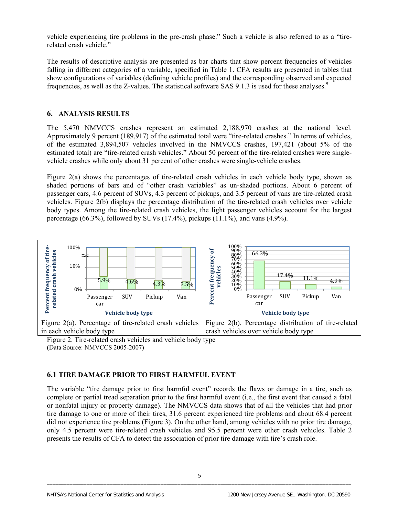vehicle experiencing tire problems in the pre-crash phase." Such a vehicle is also referred to as a "tirerelated crash vehicle."

The results of descriptive analysis are presented as bar charts that show percent frequencies of vehicles falling in different categories of a variable, specified in Table 1. CFA results are presented in tables that show configurations of variables (defining vehicle profiles) and the corresponding observed and expected frequencies, as well as the Z-values. The statistical software SAS 9.1.3 is used for these analyses.<sup>9</sup>

### **6. ANALYSIS RESULTS**

The 5,470 NMVCCS crashes represent an estimated 2,188,970 crashes at the national level. Approximately 9 percent (189,917) of the estimated total were "tire-related crashes." In terms of vehicles, of the estimated 3,894,507 vehicles involved in the NMVCCS crashes, 197,421 (about 5% of the estimated total) are "tire-related crash vehicles." About 50 percent of the tire-related crashes were singlevehicle crashes while only about 31 percent of other crashes were single-vehicle crashes.

Figure 2(a) shows the percentages of tire-related crash vehicles in each vehicle body type, shown as shaded portions of bars and of "other crash variables" as un-shaded portions. About 6 percent of passenger cars, 4.6 percent of SUVs, 4.3 percent of pickups, and 3.5 percent of vans are tire-related crash vehicles. Figure 2(b) displays the percentage distribution of the tire-related crash vehicles over vehicle body types. Among the tire-related crash vehicles, the light passenger vehicles account for the largest percentage (66.3%), followed by SUVs (17.4%), pickups (11.1%), and vans (4.9%).



Figure 2. Tire-related crash vehicles and vehicle body type (Data Source: NMVCCS 2005-2007)

## **6.1 TIRE DAMAGE PRIOR TO FIRST HARMFUL EVENT**

The variable "tire damage prior to first harmful event" records the flaws or damage in a tire, such as complete or partial tread separation prior to the first harmful event (i.e., the first event that caused a fatal or nonfatal injury or property damage). The NMVCCS data shows that of all the vehicles that had prior tire damage to one or more of their tires, 31.6 percent experienced tire problems and about 68.4 percent did not experience tire problems (Figure 3). On the other hand, among vehicles with no prior tire damage, only 4.5 percent were tire-related crash vehicles and 95.5 percent were other crash vehicles. Table 2 presents the results of CFA to detect the association of prior tire damage with tire's crash role.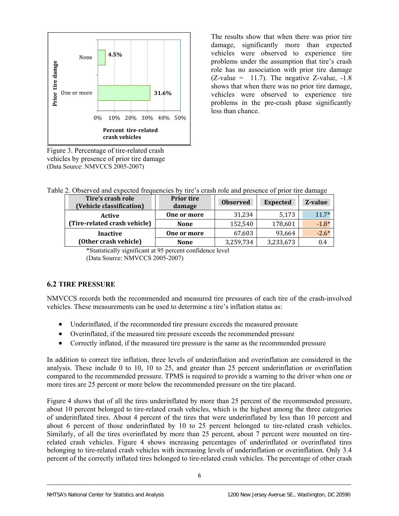

Figure 3. Percentage of tire-related crash vehicles by presence of prior tire damage (Data Source: NMVCCS 2005-2007)

The results show that when there was prior tire damage, significantly more than expected vehicles were observed to experience tire problems under the assumption that tire's crash role has no association with prior tire damage  $(Z-value = 11.7)$ . The negative Z-value,  $-1.8$ shows that when there was no prior tire damage, vehicles were observed to experience tire problems in the pre-crash phase significantly less than chance.

Table 2. Observed and expected frequencies by tire's crash role and presence of prior tire damage

| Tire's crash role<br>(Vehicle classification) | <b>Prior tire</b><br>damage | <b>Observed</b> | <b>Expected</b> | Z-value |
|-----------------------------------------------|-----------------------------|-----------------|-----------------|---------|
| Active                                        | One or more                 | 31,234          | 5,173           | $11.7*$ |
| (Tire-related crash vehicle)                  | <b>None</b>                 | 152,540         | 178,601         | $-1.8*$ |
| <b>Inactive</b>                               | One or more                 | 67,603          | 93,664          | $-2.6*$ |
| (Other crash vehicle)                         | <b>None</b>                 | 3,259,734       | 3,233,673       | 0.4     |

 \*Statistically significant at 95 percent confidence level (Data Source: NMVCCS 2005-2007)

## **6.2 TIRE PRESSURE**

NMVCCS records both the recommended and measured tire pressures of each tire of the crash-involved vehicles. These measurements can be used to determine a tire's inflation status as:

- Underinflated, if the recommended tire pressure exceeds the measured pressure
- Overinflated, if the measured tire pressure exceeds the recommended pressure
- Correctly inflated, if the measured tire pressure is the same as the recommended pressure

In addition to correct tire inflation, three levels of underinflation and overinflation are considered in the analysis. These include 0 to 10, 10 to 25, and greater than 25 percent underinflation or overinflation compared to the recommended pressure. TPMS is required to provide a warning to the driver when one or more tires are 25 percent or more below the recommended pressure on the tire placard.

Figure 4 shows that of all the tires underinflated by more than 25 percent of the recommended pressure, about 10 percent belonged to tire-related crash vehicles, which is the highest among the three categories of underinflated tires. About 4 percent of the tires that were underinflated by less than 10 percent and about 6 percent of those underinflated by 10 to 25 percent belonged to tire-related crash vehicles. Similarly, of all the tires overinflated by more than 25 percent, about 7 percent were mounted on tirerelated crash vehicles. Figure 4 shows increasing percentages of underinflated or overinflated tires belonging to tire-related crash vehicles with increasing levels of underinflation or overinflation. Only 3.4 percent of the correctly inflated tires belonged to tire-related crash vehicles. The percentage of other crash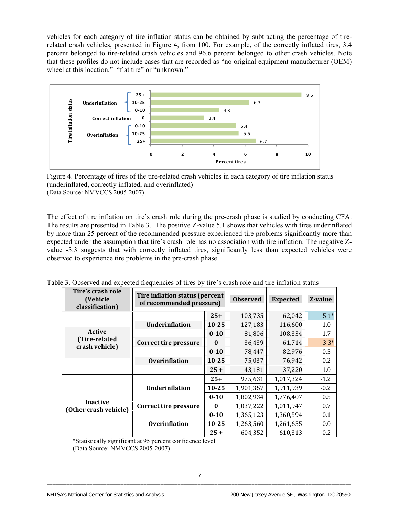vehicles for each category of tire inflation status can be obtained by subtracting the percentage of tirerelated crash vehicles, presented in Figure 4, from 100. For example, of the correctly inflated tires, 3.4 percent belonged to tire-related crash vehicles and 96.6 percent belonged to other crash vehicles. Note that these profiles do not include cases that are recorded as "no original equipment manufacturer (OEM) wheel at this location," "flat tire" or "unknown."





The effect of tire inflation on tire's crash role during the pre-crash phase is studied by conducting CFA. The results are presented in Table 3. The positive Z-value 5.1 shows that vehicles with tires underinflated by more than 25 percent of the recommended pressure experienced tire problems significantly more than expected under the assumption that tire's crash role has no association with tire inflation. The negative Zvalue -3.3 suggests that with correctly inflated tires, significantly less than expected vehicles were observed to experience tire problems in the pre-crash phase.

| Tire's crash role<br>(Vehicle<br>classification) | Tire inflation status (percent<br>of recommended pressure) |              | <b>Observed</b> | <b>Expected</b> | Z-value |
|--------------------------------------------------|------------------------------------------------------------|--------------|-----------------|-----------------|---------|
|                                                  |                                                            | $25+$        | 103,735         | 62,042          | $5.1*$  |
|                                                  | <b>Underinflation</b>                                      | $10 - 25$    | 127,183         | 116,600         | 1.0     |
| <b>Active</b>                                    |                                                            | $0 - 10$     | 81,806          | 108,334         | $-1.7$  |
| (Tire-related<br>crash vehicle)                  | <b>Correct tire pressure</b>                               | $\mathbf{0}$ | 36,439          | 61,714          | $-3.3*$ |
|                                                  |                                                            | $0 - 10$     | 78,447          | 82,976          | $-0.5$  |
|                                                  | <b>Overinflation</b>                                       | $10 - 25$    | 75,037          | 76,942          | $-0.2$  |
|                                                  |                                                            | $25 +$       | 43,181          | 37,220          | 1.0     |
|                                                  |                                                            | $25+$        | 975,631         | 1,017,324       | $-1.2$  |
|                                                  | <b>Underinflation</b>                                      | $10 - 25$    | 1,901,357       | 1,911,939       | $-0.2$  |
|                                                  |                                                            | $0 - 10$     | 1,802,934       | 1,776,407       | 0.5     |
| <b>Inactive</b><br>(Other crash vehicle)         | Correct tire pressure                                      | $\bf{0}$     | 1,037,222       | 1,011,947       | 0.7     |
|                                                  |                                                            | $0 - 10$     | 1,365,123       | 1,360,594       | 0.1     |
|                                                  | <b>Overinflation</b>                                       | $10 - 25$    | 1,263,560       | 1,261,655       | 0.0     |
|                                                  |                                                            | $25 +$       | 604,352         | 610,313         | $-0.2$  |

Table 3. Observed and expected frequencies of tires by tire's crash role and tire inflation status

\*Statistically significant at 95 percent confidence level

(Data Source: NMVCCS 2005-2007)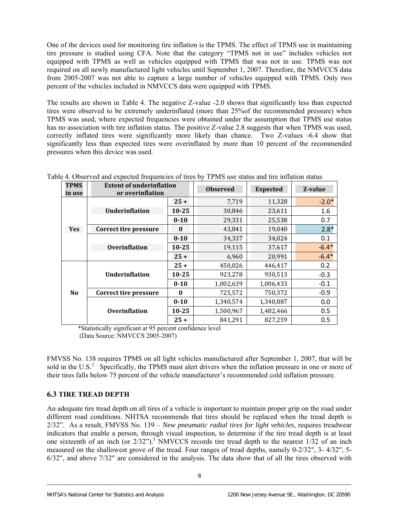One of the devices used for monitoring tire inflation is the TPMS. The effect of TPMS use in maintaining tire pressure is studied using CFA. Note that the category "TPMS not in use" includes vehicles not equipped with TPMS as well as vehicles equipped with TPMS that was not in use. TPMS was not required on all newly manufactured light vehicles until September 1, 2007. Therefore, the NMVCCS data from 2005-2007 was not able to capture a large number of vehicles equipped with TPMS. Only two percent of the vehicles included in NMVCCS data were equipped with TPMS.

The results are shown in Table 4. The negative Z-value -2.0 shows that significantly less than expected tires were observed to be extremely underinflated (more than 25%of the recommended pressure) when TPMS was used, where expected frequencies were obtained under the assumption that TPMS use status has no association with tire inflation status. The positive Z-value 2.8 suggests that when TPMS was used, correctly inflated tires were significantly more likely than chance. Two Z-values -6.4 show that significantly less than expected tires were overinflated by more than 10 percent of the recommended pressures when this device was used.

| <b>TPMS</b><br>in use | <b>Extent of underinflation</b><br>or overinflation |           | <b>Observed</b> | <b>Expected</b> | Z-value |
|-----------------------|-----------------------------------------------------|-----------|-----------------|-----------------|---------|
|                       |                                                     | $25 +$    | 7,719           | 11,328          | $-2.0*$ |
|                       | <b>Underinflation</b>                               | $10 - 25$ | 30,846          | 23,611          | 1.6     |
|                       |                                                     | $0 - 10$  | 29,331          | 25,538          | 0.7     |
| <b>Yes</b>            | <b>Correct tire pressure</b>                        | $\bf{0}$  | 43,841          | 19,040          | $2.8*$  |
|                       |                                                     | $0 - 10$  | 34,337          | 34,024          | 0.1     |
|                       | <b>Overinflation</b>                                | $10 - 25$ | 19,115          | 37,617          | $-6.4*$ |
|                       |                                                     | $25 +$    | 6,960           | 20,991          | $-6.4*$ |
|                       |                                                     | $25 +$    | 450,026         | 446,417         | 0.2     |
|                       | <b>Underinflation</b>                               | $10 - 25$ | 923,278         | 930,513         | $-0.3$  |
|                       |                                                     | $0 - 10$  | 1,002,639       | 1,006,433       | $-0.1$  |
| N <sub>0</sub>        | <b>Correct tire pressure</b>                        | $\bf{0}$  | 725,572         | 750,372         | $-0.9$  |
|                       |                                                     | $0 - 10$  | 1,340,574       | 1,340,887       | 0.0     |
|                       | <b>Overinflation</b>                                | $10 - 25$ | 1,500,967       | 1,482,466       | 0.5     |
|                       |                                                     | $25 +$    | 841,291         | 827,259         | 0.5     |

Table 4. Observed and expected frequencies of tires by TPMS use status and tire inflation status

 \*Statistically significant at 95 percent confidence level (Data Source: NMVCCS 2005-2007)

FMVSS No. 138 requires TPMS on all light vehicles manufactured after September 1, 2007, that will be sold in the U.S.<sup>2</sup> Specifically, the TPMS must alert drivers when the inflation pressure in one or more of their tires falls below 75 percent of the vehicle manufacturer's recommended cold inflation pressure.

# **6.3 TIRE TREAD DEPTH**

An adequate tire tread depth on all tires of a vehicle is important to maintain proper grip on the road under different road conditions. NHTSA recommends that tires should be replaced when the tread depth is 2/32". As a result, FMVSS No. 139 – *New pneumatic radial tires for light vehicles,* requires treadwear indicators that enable a person, through visual inspection, to determine if the tire tread depth is at least one sixteenth of an inch (or  $2/32$ ").<sup>3</sup> NMVCCS records tire tread depth to the nearest  $1/32$  of an inch measured on the shallowest grove of the tread. Four ranges of tread depths, namely 0-2/32″, 3- 4/32″, 5- 6/32″, and above 7/32″ are considered in the analysis. The data show that of all the tires observed with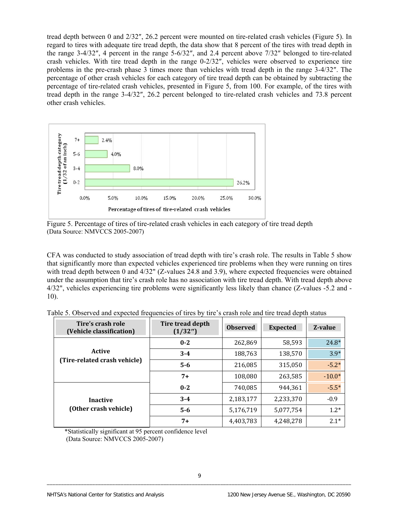tread depth between 0 and 2/32″, 26.2 percent were mounted on tire-related crash vehicles (Figure 5). In regard to tires with adequate tire tread depth, the data show that 8 percent of the tires with tread depth in the range 3-4/32″, 4 percent in the range 5-6/32″, and 2.4 percent above 7/32″ belonged to tire-related crash vehicles. With tire tread depth in the range 0-2/32″, vehicles were observed to experience tire problems in the pre-crash phase 3 times more than vehicles with tread depth in the range 3-4/32″. The percentage of other crash vehicles for each category of tire tread depth can be obtained by subtracting the percentage of tire-related crash vehicles, presented in Figure 5, from 100. For example, of the tires with tread depth in the range 3-4/32″, 26.2 percent belonged to tire-related crash vehicles and 73.8 percent other crash vehicles.



Figure 5. Percentage of tires of tire-related crash vehicles in each category of tire tread depth (Data Source: NMVCCS 2005-2007)

CFA was conducted to study association of tread depth with tire's crash role. The results in Table 5 show that significantly more than expected vehicles experienced tire problems when they were running on tires with tread depth between 0 and 4/32" (Z-values 24.8 and 3.9), where expected frequencies were obtained under the assumption that tire's crash role has no association with tire tread depth. With tread depth above 4/32", vehicles experiencing tire problems were significantly less likely than chance (Z-values -5.2 and - 10).

| Tire's crash role<br>(Vehicle classification) | Tire tread depth<br>(1/32") | <b>Observed</b> | <b>Expected</b> | Z-value  |
|-----------------------------------------------|-----------------------------|-----------------|-----------------|----------|
| <b>Active</b><br>(Tire-related crash vehicle) | $0 - 2$                     | 262,869         | 58,593          | $24.8*$  |
|                                               | $3 - 4$                     | 188,763         | 138,570         | $3.9*$   |
|                                               | $5 - 6$                     | 216,085         | 315,050         | $-5.2*$  |
|                                               | $7+$                        | 108,080         | 263,585         | $-10.0*$ |
| <b>Inactive</b><br>(Other crash vehicle)      | $0 - 2$                     | 740,085         | 944,361         | $-5.5*$  |
|                                               | $3 - 4$                     | 2,183,177       | 2,233,370       | $-0.9$   |
|                                               | $5 - 6$                     | 5,176,719       | 5,077,754       | $1.2*$   |
|                                               | $7+$                        | 4,403,783       | 4,248,278       | $2.1*$   |

Table 5. Observed and expected frequencies of tires by tire's crash role and tire tread depth status

\*Statistically significant at 95 percent confidence level

(Data Source: NMVCCS 2005-2007)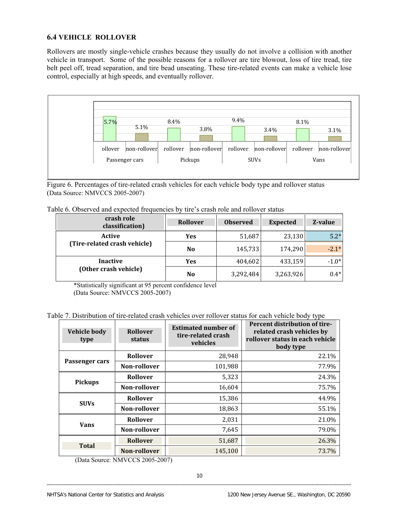## **6.4 VEHICLE ROLLOVER**

Rollovers are mostly single-vehicle crashes because they usually do not involve a collision with another vehicle in transport. Some of the possible reasons for a rollover are tire blowout, loss of tire tread, tire belt peel off, tread separation, and tire bead unseating. These tire-related events can make a vehicle lose control, especially at high speeds, and eventually rollover.



Figure 6. Percentag es of tire-related crash vehicles for each vehicle body type and rollover status So urce: NMVC CS 2005-2007)

| Table 6. Observed and expected frequencies by tire's crash role and rollover status |  |
|-------------------------------------------------------------------------------------|--|
|-------------------------------------------------------------------------------------|--|

| crash role<br>classification)                 | <b>Rollover</b> | <b>Observed</b> | <b>Expected</b> | Z-value |
|-----------------------------------------------|-----------------|-----------------|-----------------|---------|
| <b>Active</b><br>(Tire-related crash vehicle) | Yes             | 51,687          | 23,130          | $5.2*$  |
|                                               | N <sub>0</sub>  | 145,733         | 174,290         | $-2.1*$ |
| <b>Inactive</b>                               | <b>Yes</b>      | 404,602         | 433,159         | $-1.0*$ |
| (Other crash vehicle)                         | N <sub>0</sub>  | 3,292,484       | 3,263,926       | $0.4*$  |

\*Statisticall y significant at 95 percent confidence level

(Data Sour ce: NMVCCS 2005-2007)

Table 7. Distribution of tire-related crash vehicles over rollover status for each vehicle body type

| Vehicle body<br>type | <b>Rollover</b><br>status | <b>Estimated number of</b><br>tire-related crash<br>vehicles | Percent distribution of tire-<br>related crash vehicles by<br>rollover status in each vehicle<br>body type |
|----------------------|---------------------------|--------------------------------------------------------------|------------------------------------------------------------------------------------------------------------|
| Passenger cars       | Rollover                  | 28,948                                                       | 22.1%                                                                                                      |
|                      | Non-rollover              | 101,988                                                      | 77.9%                                                                                                      |
|                      | <b>Rollover</b>           | 5,323                                                        | 24.3%                                                                                                      |
| <b>Pickups</b>       | Non-rollover              | 16,604                                                       | 75.7%                                                                                                      |
| <b>SUVs</b>          | Rollover                  | 15,386                                                       | 44.9%                                                                                                      |
|                      | Non-rollover              | 18,863                                                       | 55.1%                                                                                                      |
| <b>Vans</b>          | Rollover                  | 2,031                                                        | 21.0%                                                                                                      |
|                      | Non-rollover              | 7,645                                                        | 79.0%                                                                                                      |
|                      | <b>Rollover</b>           | 51,687                                                       | 26.3%                                                                                                      |
| <b>Total</b>         | Non-rollover              | 145,100                                                      | 73.7%                                                                                                      |

(Data Source: NMVCCS 2005-2007)

\_\_\_\_\_\_\_\_\_\_\_\_\_\_\_\_\_\_\_\_\_\_\_\_\_\_\_\_\_\_\_\_\_\_\_\_\_\_\_\_\_\_\_\_\_\_\_\_\_\_\_\_\_\_\_\_\_\_\_\_\_\_\_\_\_\_\_\_\_\_\_\_\_\_\_\_\_\_\_\_\_\_\_\_\_\_\_\_\_\_\_\_\_\_\_\_\_\_\_

 $\overline{\phantom{a}}$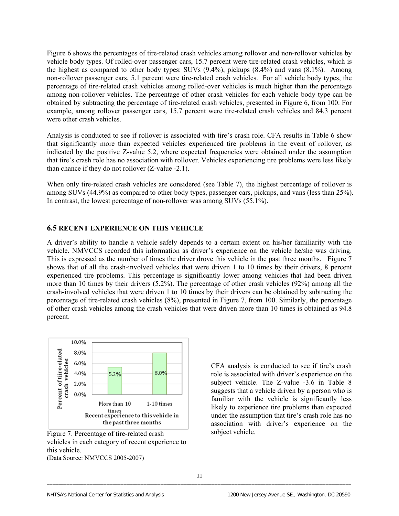Figure 6 shows the percentages of tire-related crash vehicles among rollover and non-rollover vehicles by vehicle body types. Of rolled-over passenger cars, 15.7 percent were tire-related crash vehicles, which is the highest as compared to other body types: SUVs (9.4%), pickups (8.4%) and vans (8.1%). Among non-rollover passenger cars, 5.1 percent were tire-related crash vehicles. For all vehicle body types, the percentage of tire-related crash vehicles among rolled-over vehicles is much higher than the percentage among non-rollover vehicles. The percentage of other crash vehicles for each vehicle body type can be obtained by subtracting the percentage of tire-related crash vehicles, presented in Figure 6, from 100. For example, among rollover passenger cars, 15.7 percent were tire-related crash vehicles and 84.3 percent were other crash vehicles.

Analysis is conducted to see if rollover is associated with tire's crash role. CFA results in Table 6 show that significantly more than expected vehicles experienced tire problems in the event of rollover, as indicated by the positive Z-value 5.2, where expected frequencies were obtained under the assumption that tire's crash role has no association with rollover. Vehicles experiencing tire problems were less likely than chance if they do not rollover (Z-value -2.1).

When only tire-related crash vehicles are considered (see Table 7), the highest percentage of rollover is among SUVs (44.9%) as compared to other body types, passenger cars, pickups, and vans (less than 25%). In contrast, the lowest percentage of non-rollover was among SUVs (55.1%).

#### **6.5 RECENT EXPERIENCE ON THIS VEHICLE**

A driver's ability to handle a vehicle safely depends to a certain extent on his/her familiarity with the vehicle. NMVCCS recorded this information as driver's experience on the vehicle he/she was driving. This is expressed as the number of times the driver drove this vehicle in the past three months. Figure 7 shows that of all the crash-involved vehicles that were driven 1 to 10 times by their drivers, 8 percent experienced tire problems. This percentage is significantly lower among vehicles that had been driven more than 10 times by their drivers (5.2%). The percentage of other crash vehicles (92%) among all the crash-involved vehicles that were driven 1 to 10 times by their drivers can be obtained by subtracting the percentage of tire-related crash vehicles (8%), presented in Figure 7, from 100. Similarly, the percentage of other crash vehicles among the crash vehicles that were driven more than 10 times is obtained as 94.8 percent.



Figure 7. Percentage of tire-related crash vehicl es in each category of recent experience to this ve hicle.

(Data S ource: NMVCCS 2005-2007)

 $\overline{\phantom{a}}$ 

CFA analysis is conducted to see if tire's crash role is associated with driver's experience on the subject vehicle. The Z-value -3.6 in Table 8 suggests that a vehicle driven by a person who is familiar with the vehicle is significantly less likely to experience tire problems than expected under the assumption that tire's crash role has no association with driver's experience on the subject vehicle.

\_\_\_\_\_\_\_\_\_\_\_\_\_\_\_\_\_\_\_\_\_\_\_\_\_\_\_\_\_\_\_\_\_\_\_\_\_\_\_\_\_\_\_\_\_\_\_\_\_\_\_\_\_\_\_\_\_\_\_\_\_\_\_\_\_\_\_\_\_\_\_\_\_\_\_\_\_\_\_\_\_\_\_\_\_\_\_\_\_\_\_\_\_\_\_\_\_\_\_\_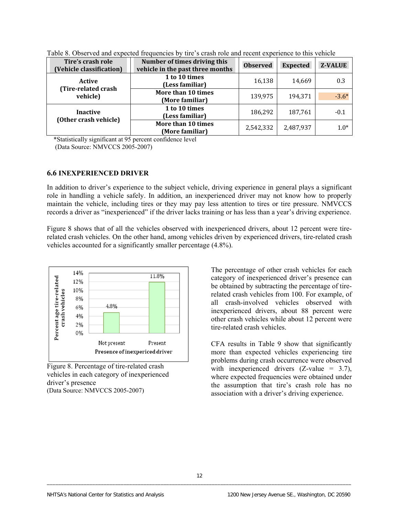| Tire's crash role<br>(Vehicle classification) | Number of times driving this<br>vehicle in the past three months | <b>Observed</b> | <b>Expected</b> | <b>Z-VALUE</b> |
|-----------------------------------------------|------------------------------------------------------------------|-----------------|-----------------|----------------|
| Active<br>(Tire-related crash                 | 1 to 10 times<br>(Less familiar)                                 | 16,138          | 14,669          | 0.3            |
| vehicle)                                      | More than 10 times<br>(More familiar)                            | 139,975         | 194,371         | $-3.6*$        |
| <b>Inactive</b><br>(Other crash vehicle)      | 1 to 10 times<br>(Less familiar)                                 | 186,292         | 187,761         | $-0.1$         |
|                                               | More than 10 times<br>(More familiar)                            | 2,542,332       | 2,487,937       | $1.0*$         |

Table 8. Observed and expected frequencies by tire's crash role and recent experience to this vehicle

 \*Statistically significant at 95 percent confidence level (Data Source: NMVCCS 2005-2007)

#### **6.6 INEXPERIENCED DRIVER**

In addition to driver's experience to the subject vehicle, driving experience in general plays a significant role in handling a vehicle safely. In addition, an inexperienced driver may not know how to properly maintain the vehicle, including tires or they may pay less attention to tires or tire pressure. NMVCCS records a driver as "inexperienced" if the driver lacks training or has less than a year's driving experience.

Figure 8 shows that of all the vehicles observed with inexperienced drivers, about 12 percent were tirerelated crash vehicles. On the other hand, among vehicles driven by experienced drivers, tire-related crash vehicles accounted for a significantly smaller percentage (4.8%).



Figure 8. Percentage of tire-related crash vehicles in each category of inexperienced driver's presence (Data Source: NMVCCS 2005-2007)

The percentage of other crash vehicles for each category of inexperienced driver's presence can be obtained by subtracting the percentage of tirerelated crash vehicles from 100. For example, of all crash-involved vehicles observed with inexperienced drivers, about 88 percent were other crash vehicles while about 12 percent were tire-related crash vehicles.

CFA results in Table 9 show that significantly more than expected vehicles experiencing tire problems during crash occurrence were observed with inexperienced drivers  $(Z-value = 3.7)$ , where expected frequencies were obtained under the assumption that tire's crash role has no association with a driver's driving experience.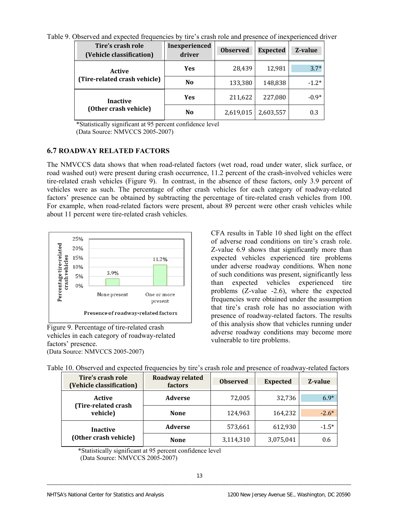Table 9. Observed and expected frequencies by tire's crash role and presence of inexperienced driver

| Tire's crash role<br>(Vehicle classification) | Inexperienced<br>driver | <b>Observed</b> | <b>Expected</b> | Z-value |
|-----------------------------------------------|-------------------------|-----------------|-----------------|---------|
| Active                                        | <b>Yes</b>              | 28,439          | 12,981          | $3.7*$  |
| (Tire-related crash vehicle)                  | N <sub>0</sub>          | 133,380         | 148,838         | $-1.2*$ |
| <b>Inactive</b>                               | <b>Yes</b>              | 211,622         | 227,080         | $-0.9*$ |
| (Other crash vehicle)                         | N <sub>0</sub>          | 2,619,015       | 2,603,557       | 0.3     |

\*Statistically significant at 95 percent confidence level (Data Source: NMVCCS 2005-2007)

# **6.7 ROADWAY RELATED FACTORS**

The NMVCCS data shows that when road-related factors (wet road, road under water, slick surface, or road washed out) were present during crash occurrence, 11.2 percent of the crash-involved vehicles were tire-related crash vehicles (Figure 9). In contrast, in the absence of these factors, only 3.9 percent of vehicles were as such. The percentage of other crash vehicles for each category of roadway-related factors' presence can be obtained by subtracting the percentage of tire-related crash vehicles from 100. For example, when road-related factors were present, about 89 percent were other crash vehicles while about 11 percent were tire-related crash vehicles.



Figure 9. Percentage of tire-related crash vehicles in each category of roadway-related factors' presence. (Data Source: NMVCCS 2005-2007)

CFA results in Table 10 shed light on the effect of adverse road conditions on tire's crash role. Z-value 6.9 shows that significantly more than expected vehicles experienced tire problems under adverse roadway conditions. When none of such conditions was present, significantly less than expected vehicles experienced tire problems (Z-value -2.6), where the expected frequencies were obtained under the assumption that tire's crash role has no association with presence of roadway-related factors. The results of this analysis show that vehicles running under adverse roadway conditions may become more vulnerable to tire problems.

| Tire's crash role<br>(Vehicle classification) | <b>Roadway related</b><br><b>factors</b> | <b>Observed</b> | <b>Expected</b> | Z-value |
|-----------------------------------------------|------------------------------------------|-----------------|-----------------|---------|
| Active<br>(Tire-related crash                 | <b>Adverse</b>                           | 72,005          | 32,736          | $6.9*$  |
| vehicle)                                      | <b>None</b>                              | 124,963         | 164,232         | $-2.6*$ |
| <b>Inactive</b><br>(Other crash vehicle)      | <b>Adverse</b>                           | 573,661         | 612,930         | $-1.5*$ |
|                                               | <b>None</b>                              | 3,114,310       | 3,075,041       | 0.6     |

Table 10. Observed and expected frequencies by tire's crash role and presence of roadway-related factors

\*Statistically significant at 95 percent confidence l evel

(Data Source: NMVCCS 2005-2007)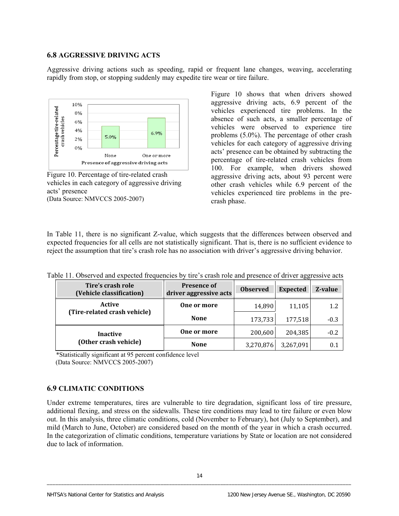#### **6.8 AGGRESSIVE DRIVING ACTS**

Aggressive driving actions such as speeding, rapid or frequent lane changes, weaving, accelerating rapidly from stop, or stopping suddenly may expedite tire wear or tire failure.



Figure 10. Percentage of tire-related crash vehicles in each category of aggressive driving acts' presence (Data Source: NMVCCS 2005-2007)

Figure 10 shows that when drivers showed aggressive driving acts, 6.9 percent of the vehicles experienced tire problems. In the absence of such acts, a smaller percentage of vehicles were observed to experience tire problems (5.0%). The percentage of other crash vehicles for each category of aggressive driving acts' presence can be obtained by subtracting the percentage of tire-related crash vehicles from 100. For example, when drivers showed aggressive driving acts, about 93 percent were other crash vehicles while 6.9 percent of the vehicles experienced tire problems in the precrash phase.

In Table 11, there is no significant Z-value, which suggests that the differences between observed and expected frequencies for all cells are not statistically significant. That is, there is no sufficient evidence to reject the assumption that tire's crash role has no association with driver's aggressive driving behavior.

| -00                                           |                                              |                 |                 |         |  |  |
|-----------------------------------------------|----------------------------------------------|-----------------|-----------------|---------|--|--|
| Tire's crash role<br>(Vehicle classification) | <b>Presence of</b><br>driver aggressive acts | <b>Observed</b> | <b>Expected</b> | Z-value |  |  |
| <b>Active</b>                                 | One or more                                  | 14,890          | 11,105          | 1.2     |  |  |
| (Tire-related crash vehicle)                  | <b>None</b>                                  | 173,733         | 177,518         | $-0.3$  |  |  |
| <b>Inactive</b>                               | One or more                                  | 200,600         | 204,385         | $-0.2$  |  |  |
| (Other crash vehicle)                         | <b>None</b>                                  | 3,270,876       | 3,267,091       |         |  |  |

Table 11. Observed and expected frequencies by tire's crash role and presence of driver aggressive acts

\*Statistically significant at 95 percent confidence level

(Data Source: NMVCCS 2005-2007)

### **6.9 CLIMATIC CONDITIONS**

Under extreme temperatures, tires are vulnerable to tire degradation, significant loss of tire pressure, additional flexing, and stress on the sidewalls. These tire conditions may lead to tire failure or even blow out. In this analysis, three climatic conditions, cold (November to February), hot (July to September), and mild (March to June, October) are considered based on the month of the year in which a crash occurred. In the categorization of climatic conditions, temperature variations by State or location are not considered due to lack of information.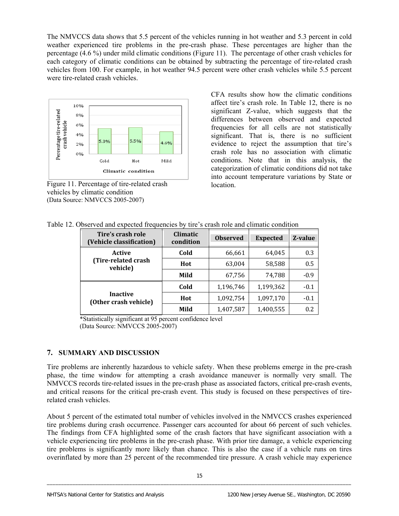The NMVCCS data shows that 5.5 percent of the vehicles running in hot weather and 5.3 percent in cold weather experienced tire problems in the pre-crash phase. These percentages are higher than the percentage (4.6 %) under mild climatic conditions (Figure 11). The percentage of other crash vehicles for each category of climatic conditions can be obtained by subtracting the percentage of tire-related crash vehicles from 100. For example, in hot weather 94.5 percent were other crash vehicles while 5.5 percent were tire-related crash vehicles.



Figure 11. Percentage of tire-related crash vehicles by climatic condition (Data Source: NMVCCS 2005-2007)

CFA results show how the climatic conditions affect tire's crash role. In Table 12, there is no significant Z-value, which suggests that the differences between observed and expected frequencies for all cells are not statistically significant. That is, there is no sufficient evidence to reject the assumption that tire's crash role has no association with climatic conditions. Note that in this analysis, the categorization of climatic conditions did not take into account temperature variations by State or location.

Table 12. Observed and expected frequencies by tire's crash role and climatic condition

| Tire's crash role<br>(Vehicle classification) | <b>Climatic</b><br>condition | <b>Observed</b> | <b>Expected</b> | Z-value |
|-----------------------------------------------|------------------------------|-----------------|-----------------|---------|
| Active                                        | Cold                         | 66,661          | 64,045          | 0.3     |
| (Tire-related crash<br>vehicle)               | Hot                          | 63,004          | 58,588          | 0.5     |
|                                               | Mild                         | 67,756          | 74,788          | $-0.9$  |
|                                               | Cold                         | 1,196,746       | 1,199,362       | $-0.1$  |
| <b>Inactive</b><br>(Other crash vehicle)      | Hot                          | 1,092,754       | 1,097,170       | $-0.1$  |
|                                               | Mild                         | 1,407,587       | 1,400,555       | 0.2     |

\*Statistically significant at 95 percent confidence level

(Data Source: NMVCCS 2005-2007)

# **7. SUMMARY AND DISCUSSION**

Tire problems are inherently hazardous to vehicle safety. When these problems emerge in the pre-crash phase, the time window for attempting a crash avoidance maneuver is normally very small. The NMVCCS records tire-related issues in the pre-crash phase as associated factors, critical pre-crash events, and critical reasons for the critical pre-crash event. This study is focused on these perspectives of tirerelated crash vehicles.

About 5 percent of the estimated total number of vehicles involved in the NMVCCS crashes experienced tire problems during crash occurrence. Passenger cars accounted for about 66 percent of such vehicles. The findings from CFA highlighted some of the crash factors that have significant association with a vehicle experiencing tire problems in the pre-crash phase. With prior tire damage, a vehicle experiencing tire problems is significantly more likely than chance. This is also the case if a vehicle runs on tires overinflated by more than 25 percent of the recommended tire pressure. A crash vehicle may experience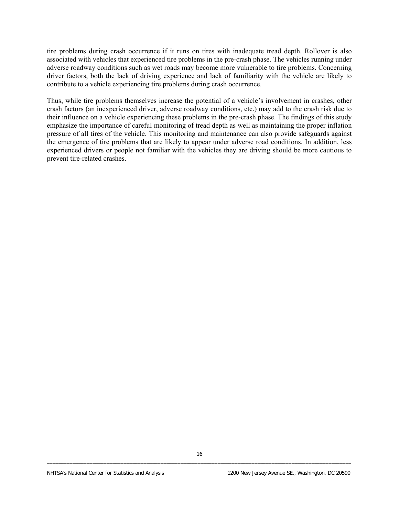tire problems during crash occurrence if it runs on tires with inadequate tread depth. Rollover is also associated with vehicles that experienced tire problems in the pre-crash phase. The vehicles running under adverse roadway conditions such as wet roads may become more vulnerable to tire problems. Concerning driver factors, both the lack of driving experience and lack of familiarity with the vehicle are likely to contribute to a vehicle experiencing tire problems during crash occurrence.

Thus, while tire problems themselves increase the potential of a vehicle's involvement in crashes, other crash factors (an inexperienced driver, adverse roadway conditions, etc.) may add to the crash risk due to their influence on a vehicle experiencing these problems in the pre-crash phase. The findings of this study emphasize the importance of careful monitoring of tread depth as well as maintaining the proper inflation pressure of all tires of the vehicle. This monitoring and maintenance can also provide safeguards against the emergence of tire problems that are likely to appear under adverse road conditions. In addition, less experienced drivers or people not familiar with the vehicles they are driving should be more cautious to prevent tire-related crashes.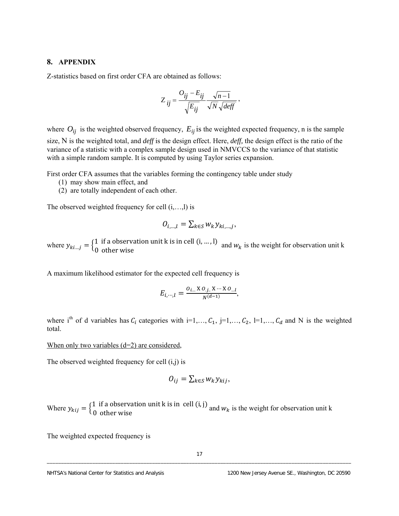#### **8. APPENDIX**

Z-statistics based on first order CFA are obtained as follows:

$$
Z_{ij} = \frac{O_{ij} - E_{ij}}{\sqrt{E_{ij}}} \frac{\sqrt{n-1}}{\sqrt{N}\sqrt{deff}} ,
$$

where  $O_{ij}$  is the weighted observed frequency,  $E_{ij}$  is the weighted expected frequency, n is the sample size, N is the weighted total, and *deff* is the design effect. Here, *deff,* the design effect is the ratio of the variance of a statistic with a complex sample design used in NMVCCS to the variance of that statistic with a simple random sample. It is computed by using Taylor series expansion.

First order CFA assumes that the variables forming the contingency table under study

- (1) may show main effect, and
- (2) are totally independent of each other.

The observed weighted frequency for cell (i,…,l) is

$$
O_{i,\dots,l} = \sum_{k \in S} w_k y_{ki,\dots,j},
$$

where  $y_{ki...j} = \begin{cases} 1 & \text{if a observation unit k is in cell } (i, ..., l) \\ 0 & \text{otherwise} \end{cases}$  and  $w_k$  is the weigh 0 if a observation unit other wise k i s in ce ll ሺi, … , l) and  $w_k$  is the weight for observation unit k

A maximum likelihood estimator for the expected cell frequency is

$$
E_{i,\cdots,l} = \frac{O_{i...} \times O_{j...} \times \cdots \times O_{i...l}}{N^{(d-1)}},
$$

where i<sup>th</sup> of d variables has  $C_i$  categories with i=1,...,  $C_1$ , j=1,...,  $C_2$ , l=1,...,  $C_d$  and N is the weighted total.

#### When only two variables (d=2) are considered,

The observed weighted frequency for cell (i,j) is

$$
O_{ij} = \sum_{k \in S} w_k y_{kij},
$$

Where  $y_{kij} = \begin{cases} 1 \\ 0 \end{cases}$ 0 if a other observa w tion unit **k** is in ise cell (i, ell (i, j) and  $w_k$  is the weight for observation unit k

The weighted expected frequency is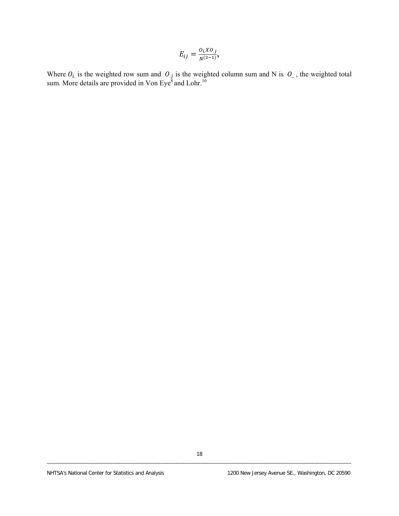$$
E_{ij} = \frac{O_i X O_j}{N^{(2-1)}},
$$

Where  $O_i$  is the weighted row sum and  $O_i$  is the weighted column sum and N is  $O_i$ , the weighted total sum. More details are provided in Von Eye $^8$  and Lohr.<sup>10</sup>  $O_i$  is the weighted row sum and  $O_j$  is the weighted column sum and N is  $O_i$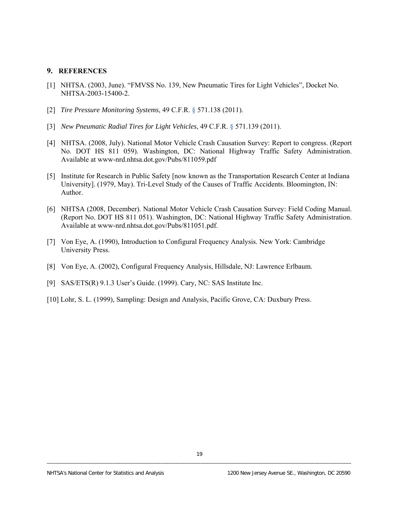#### **9. REFERENCES**

- [1] NHTSA. (2003, June). "FMVSS No. 139, New Pneumatic Tires for Light Vehicles", Docket No. NHTSA-2003-15400-2.
- [2] *Tire Pressure Monitoring Systems*, 49 C.F.R. § 571.138 (2011).
- [3] *New Pneumatic Radial Tires for Light Vehicles*, 49 C.F.R. § 571.139 (2011).
- [4] NHTSA. (2008, July). National Motor Vehicle Crash Causation Survey: Report to congress. (Report No. DOT HS 811 059). Washington, DC: National Highway Traffic Safety Administration. Available at www-nrd.nhtsa.dot.gov/Pubs/811059.pdf
- [5] Institute for Research in Public Safety [now known as the Transportation Research Center at Indiana University]. (1979, May). Tri-Level Study of the Causes of Traffic Accidents. Bloomington, IN: Author.
- [6] NHTSA (2008, December). National Motor Vehicle Crash Causation Survey: Field Coding Manual. (Report No. DOT HS 811 051). Washington, DC: National Highway Traffic Safety Administration. Available at www-nrd.nhtsa.dot.gov/Pubs/811051.pdf.
- [7] Von Eye, A. (1990), Introduction to Configural Frequency Analysis. New York: Cambridge University Press.
- [8] Von Eye, A. (2002), Configural Frequency Analysis, Hillsdale, NJ: Lawrence Erlbaum.
- [9] SAS/ETS(R) 9.1.3 User's Guide. (1999). Cary, NC: SAS Institute Inc.
- [10] Lohr, S. L. (1999), Sampling: Design and Analysis, Pacific Grove, CA: Duxbury Press.